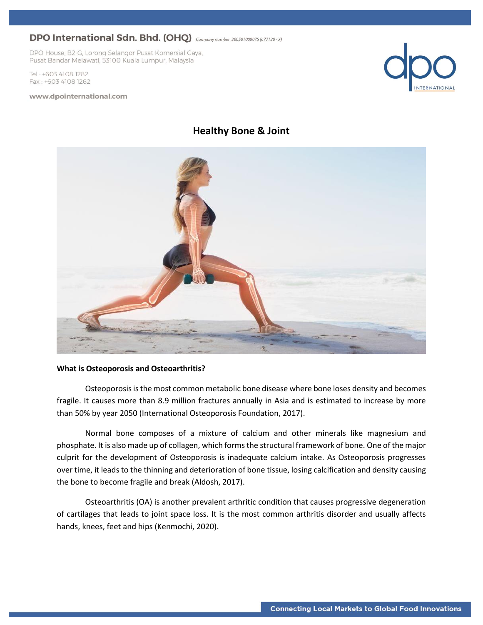DPO House, B2-G, Lorong Selangor Pusat Komersial Gaya, Pusat Bandar Melawati, 53100 Kuala Lumpur, Malaysia

Tel: +603 4108 1282 Fax: +603 4108 1262

#### www.dpointernational.com



### **Healthy Bone & Joint**



### **What is Osteoporosis and Osteoarthritis?**

Osteoporosis is the most common metabolic bone disease where bone loses density and becomes fragile. It causes more than 8.9 million fractures annually in Asia and is estimated to increase by more than 50% by year 2050 (International Osteoporosis Foundation, 2017).

Normal bone composes of a mixture of calcium and other minerals like magnesium and phosphate. It is also made up of collagen, which forms the structural framework of bone. One of the major culprit for the development of Osteoporosis is inadequate calcium intake. As Osteoporosis progresses over time, it leads to the thinning and deterioration of bone tissue, losing calcification and density causing the bone to become fragile and break (Aldosh, 2017).

Osteoarthritis (OA) is another prevalent arthritic condition that causes progressive degeneration of cartilages that leads to joint space loss. It is the most common arthritis disorder and usually affects hands, knees, feet and hips (Kenmochi, 2020).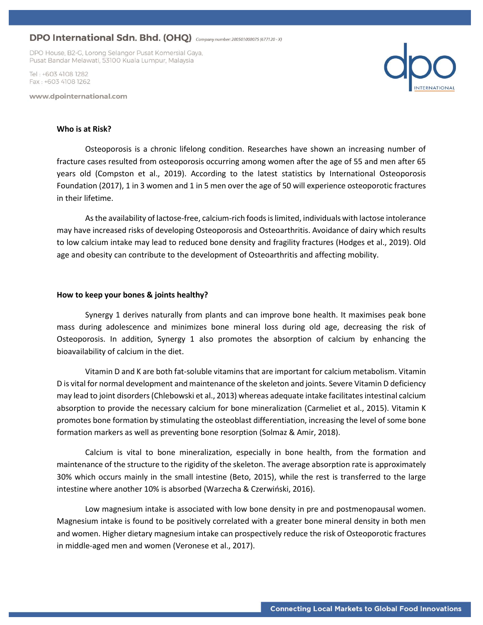DPO House, B2-G, Lorong Selangor Pusat Komersial Gaya, Pusat Bandar Melawati, 53100 Kuala Lumpur, Malaysia

Tel · +603 4108 1282 Fax: +603 4108 1262

www.dpointernational.com



#### **Who is at Risk?**

Osteoporosis is a chronic lifelong condition. Researches have shown an increasing number of fracture cases resulted from osteoporosis occurring among women after the age of 55 and men after 65 years old (Compston et al., 2019). According to the latest statistics by International Osteoporosis Foundation (2017), 1 in 3 women and 1 in 5 men over the age of 50 will experience osteoporotic fractures in their lifetime.

As the availability of lactose-free, calcium-rich foods is limited, individuals with lactose intolerance may have increased risks of developing Osteoporosis and Osteoarthritis. Avoidance of dairy which results to low calcium intake may lead to reduced bone density and fragility fractures (Hodges et al., 2019). Old age and obesity can contribute to the development of Osteoarthritis and affecting mobility.

#### **How to keep your bones & joints healthy?**

Synergy 1 derives naturally from plants and can improve bone health. It maximises peak bone mass during adolescence and minimizes bone mineral loss during old age, decreasing the risk of Osteoporosis. In addition, Synergy 1 also promotes the absorption of calcium by enhancing the bioavailability of calcium in the diet.

Vitamin D and K are both fat-soluble vitamins that are important for calcium metabolism. Vitamin D is vital for normal development and maintenance of the skeleton and joints. Severe Vitamin D deficiency may lead to joint disorders (Chlebowski et al., 2013) whereas adequate intake facilitates intestinal calcium absorption to provide the necessary calcium for bone mineralization (Carmeliet et al., 2015). Vitamin K promotes bone formation by stimulating the osteoblast differentiation, increasing the level of some bone formation markers as well as preventing bone resorption (Solmaz & Amir, 2018).

Calcium is vital to bone mineralization, especially in bone health, from the formation and maintenance of the structure to the rigidity of the skeleton. The average absorption rate is approximately 30% which occurs mainly in the small intestine (Beto, 2015), while the rest is transferred to the large intestine where another 10% is absorbed (Warzecha & Czerwiński, 2016).

Low magnesium intake is associated with low bone density in pre and postmenopausal women. Magnesium intake is found to be positively correlated with a greater bone mineral density in both men and women. Higher dietary magnesium intake can prospectively reduce the risk of Osteoporotic fractures in middle-aged men and women (Veronese et al., 2017).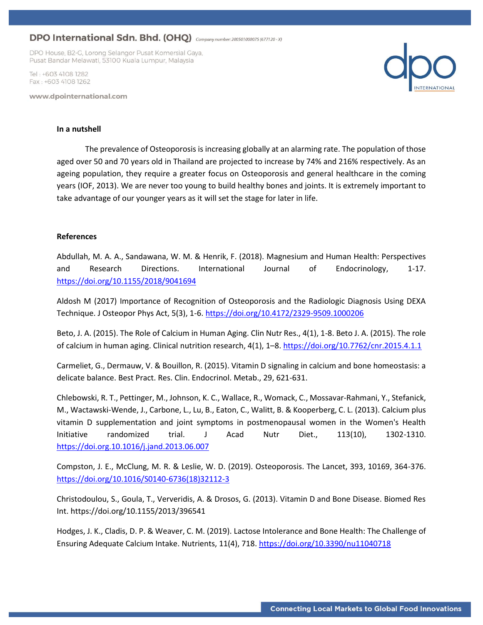DPO House, B2-G, Lorong Selangor Pusat Komersial Gaya, Pusat Bandar Melawati, 53100 Kuala Lumpur, Malaysia

Tel · +603 4108 1282 Fax: +603 4108 1262

www.dpointernational.com



#### **In a nutshell**

The prevalence of Osteoporosis is increasing globally at an alarming rate. The population of those aged over 50 and 70 years old in Thailand are projected to increase by 74% and 216% respectively. As an ageing population, they require a greater focus on Osteoporosis and general healthcare in the coming years (IOF, 2013). We are never too young to build healthy bones and joints. It is extremely important to take advantage of our younger years as it will set the stage for later in life.

### **References**

Abdullah, M. A. A., Sandawana, W. M. & Henrik, F. (2018). Magnesium and Human Health: Perspectives and Research Directions. International Journal of Endocrinology, 1-17. <https://doi.org/10.1155/2018/9041694>

Aldosh M (2017) Importance of Recognition of Osteoporosis and the Radiologic Diagnosis Using DEXA Technique. J Osteopor Phys Act, 5(3), 1-6[. https://doi.org/10.4172/2329-9509.1000206](https://doi.org/10.4172/2329-9509.1000206)

Beto, J. A. (2015). The Role of Calcium in Human Aging. Clin Nutr Res., 4(1), 1-8. Beto J. A. (2015). The role of calcium in human aging. Clinical nutrition research, 4(1), 1–8.<https://doi.org/10.7762/cnr.2015.4.1.1>

Carmeliet, G., Dermauw, V. & Bouillon, R. (2015). Vitamin D signaling in calcium and bone homeostasis: a delicate balance. Best Pract. Res. Clin. Endocrinol. Metab., 29, 621-631.

Chlebowski, R. T., Pettinger, M., Johnson, K. C., Wallace, R., Womack, C., Mossavar-Rahmani, Y., Stefanick, M., Wactawski-Wende, J., Carbone, L., Lu, B., Eaton, C., Walitt, B. & Kooperberg, C. L. (2013). Calcium plus vitamin D supplementation and joint symptoms in postmenopausal women in the Women's Health Initiative randomized trial. J Acad Nutr Diet., 113(10), 1302-1310. <https://doi.org.10.1016/j.jand.2013.06.007>

Compston, J. E., McClung, M. R. & Leslie, W. D. (2019). Osteoporosis. The Lancet, 393, 10169, 364-376. [https://doi.org/10.1016/S0140-6736\(18\)32112-3](https://doi.org/10.1016/S0140-6736(18)32112-3)

Christodoulou, S., Goula, T., Ververidis, A. & Drosos, G. (2013). Vitamin D and Bone Disease. Biomed Res Int. https://doi.org/10.1155/2013/396541

Hodges, J. K., Cladis, D. P. & Weaver, C. M. (2019). Lactose Intolerance and Bone Health: The Challenge of Ensuring Adequate Calcium Intake. Nutrients, 11(4), 718.<https://doi.org/10.3390/nu11040718>